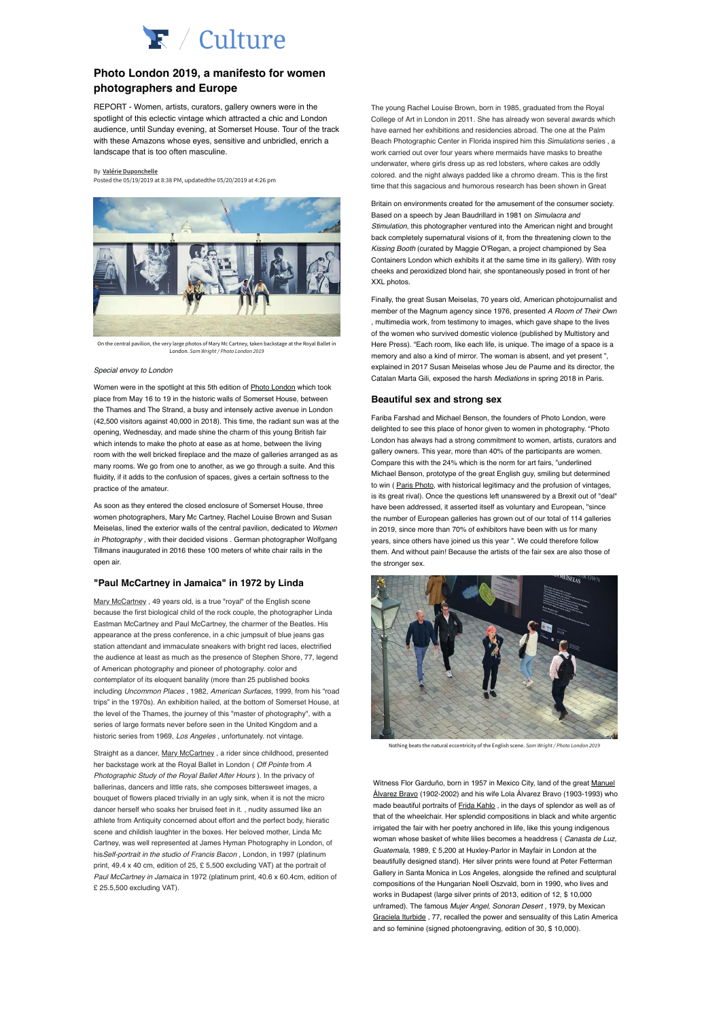

# **Photo London 2019, a manifesto for women photographers and Europe**

REPORT - Women, artists, curators, gallery owners were in the spotlight of this eclectic vintage which attracted a chic and London audience, until Sunday evening, at Somerset House. Tour of the track with these Amazons whose eyes, sensitive and unbridled, enrich a landscape that is too often masculine.

#### By **Valérie Duponchelle**

Posted the 05/19/2019 at 8:38 PM, updatedthe 05/20/2019 at 4:26 pm



On the central pavilion, the very large photos of Mary Mc Cartney, taken backstage at the Royal Ballet in London. Sam Wright / Photo London 2019

#### Special envoy to London

Women were in the spotlight at this 5th edition of **Photo London** which took place from May 16 to 19 in the historic walls of Somerset House, between the Thames and The Strand, a busy and intensely active avenue in London (42,500 visitors against 40,000 in 2018). This time, the radiant sun was at the opening, Wednesday, and made shine the charm of this young British fair which intends to make the photo at ease as at home, between the living room with the well bricked fireplace and the maze of galleries arranged as as many rooms. We go from one to another, as we go through a suite. And this fluidity, if it adds to the confusion of spaces, gives a certain softness to the practice of the amateur.

As soon as they entered the closed enclosure of Somerset House, three women photographers, Mary Mc Cartney, Rachel Louise Brown and Susan Meiselas, lined the exterior walls of the central pavilion, dedicated to Women in Photography, with their decided visions . German photographer Wolfgang Tillmans inaugurated in 2016 these 100 meters of white chair rails in the open air.

### **"Paul McCartney in Jamaica" in 1972 by Linda**

Mary McCartney , 49 years old, is a true "royal" of the English scene because the first biological child of the rock couple, the photographer Linda Eastman McCartney and Paul McCartney, the charmer of the Beatles. His appearance at the press conference, in a chic jumpsuit of blue jeans gas station attendant and immaculate sneakers with bright red laces, electrified the audience at least as much as the presence of Stephen Shore, 77, legend of American photography and pioneer of photography. color and contemplator of its eloquent banality (more than 25 published books including Uncommon Places , 1982, American Surfaces, 1999, from his "road trips" in the 1970s). An exhibition hailed, at the bottom of Somerset House, at the level of the Thames, the journey of this "master of photography", with a series of large formats never before seen in the United Kingdom and a historic series from 1969, Los Angeles, unfortunately, not vintage.

Straight as a dancer, Mary McCartney , a rider since childhood, presented her backstage work at the Royal Ballet in London ( Off Pointe from A Photographic Study of the Royal Ballet After Hours ). In the privacy of ballerinas, dancers and little rats, she composes bittersweet images, a bouquet of flowers placed trivially in an ugly sink, when it is not the micro dancer herself who soaks her bruised feet in it. , nudity assumed like an athlete from Antiquity concerned about effort and the perfect body, hieratic scene and childish laughter in the boxes. Her beloved mother, Linda Mc Cartney, was well represented at James Hyman Photography in London, of hisSelf-portrait in the studio of Francis Bacon , London, in 1997 (platinum print, 49.4 x 40 cm, edition of 25, £ 5,500 excluding VAT) at the portrait of Paul McCartney in Jamaica in 1972 (platinum print, 40.6 x 60.4cm, edition of £ 25.5,500 excluding VAT).

The young Rachel Louise Brown, born in 1985, graduated from the Royal College of Art in London in 2011. She has already won several awards which have earned her exhibitions and residencies abroad. The one at the Palm Beach Photographic Center in Florida inspired him this Simulations series , a work carried out over four years where mermaids have masks to breathe underwater, where girls dress up as red lobsters, where cakes are oddly colored. and the night always padded like a chromo dream. This is the first time that this sagacious and humorous research has been shown in Great

Britain on environments created for the amusement of the consumer society. Based on a speech by Jean Baudrillard in 1981 on Simulacra and Stimulation, this photographer ventured into the American night and brought back completely supernatural visions of it, from the threatening clown to the Kissing Booth (curated by Maggie O'Regan, a project championed by Sea Containers London which exhibits it at the same time in its gallery). With rosy cheeks and peroxidized blond hair, she spontaneously posed in front of her XXL photos. Containers London which exhibits it at the same time in its gallery (in its gallery). With rose of the same time in its gallery). With rose of the same time in its gallery (in its gallery). With rose of the sam

Finally, the great Susan Meiselas, 70 years old, American photojournalist and member of the Magnum agency since 1976, presented A Room of Their Own , multimedia work, from testimony to images, which gave shape to the lives of the women who survived domestic violence (published by Multistory and Here Press). "Each room, like each life, is unique. The image of a space is a memory and also a kind of mirror. The woman is absent, and yet present", explained in 2017 Susan Meiselas whose Jeu de Paume and its director, the Catalan Marta Gili, exposed the harsh Mediations in spring 2018 in Paris. -ınally, the g

# Beautiful sex and strong sex

Fariba Farshad and Michael Benson, the founders of Photo London, were delighted to see this place of honor given to women in photography. "Photo London has always had a strong commitment to women, artists, curators and gallery owners. This year, more than 40% of the participants are women. Compare this with the 24% which is the norm for art fairs, "underlined Michael Benson, prototype of the great English guy, smiling but determined to win ( Paris Photo, with historical legitimacy and the profusion of vintages, is its great rival). Once the questions left unanswered by a Brexit out of "deal" have been addressed, it asserted itself as voluntary and European, "since the number of European galleries has grown out of our total of 114 galleries in 2019, since more than 70% of exhibitors have been with us for many years, since others have joined us this year ". We could therefore follow them. And without pain! Because the artists of the fair sex are also those of the stronger sex. The stronger sextern was the stronger sextern was the stronger sextern was the stronger for  $\sim$ 



hing beats the natural eccentricity of the English scene. Sam Wright / Photo London 2019:

Witness Flor Garduño, born in 1957 in Mexico City, land of the great Manuel Maries Frida Galdano; softhan technic moxiled City, iana of the great **Maries**<br><u>Álvarez Bravo</u> (1902-2002) and his wife Lola Álvarez Bravo (1903-1993) who that of the white which are splendid compositions in a mid-mid-match component made beautiful portraits of Frida Kahlo , in the days of splendor as well as of irrigated boutunar portraited or **irrigated internet**, in this days or opional individual and individual that of the wheelchair. Her splendid compositions in black and white argentic Guardian California, 1989, and the same of the state of the second at the second at the second at the second at the second at the second at the second at the second at the second at the second at the second at the second a woman whose basket of white lilies becomes a headdress ( *Canasta de Luz,* Guatemala, 1989, £ 5,200 at Huxley-Parlor in Mayfair in London at the compositions of the Hungarian No. 1990, who lives and the Hungarian Noella Component Gallery in Santa Monica in Los Angeles, alongside the refined and sculptural bompound of the frangement room Obeverly, born in 1999, who model works in Budapest (large silver prints of 2013, edition of 12, \$ 10,000 unframed). The famous Mujer Angel, Sonoran Desert, 1979, by Mexican and so feminine (signed photoengraving, edition of 30, \$ 10,000). irrigated the fair with her poetry anchored in life, like this young indigenous beautifully designed stand). Her silver prints were found at Peter Fetterman compositions of the Hungarian Noell Oszvald, born in 1990, who lives and Graciela Iturbide , 77, recalled the power and sensuality of this Latin America